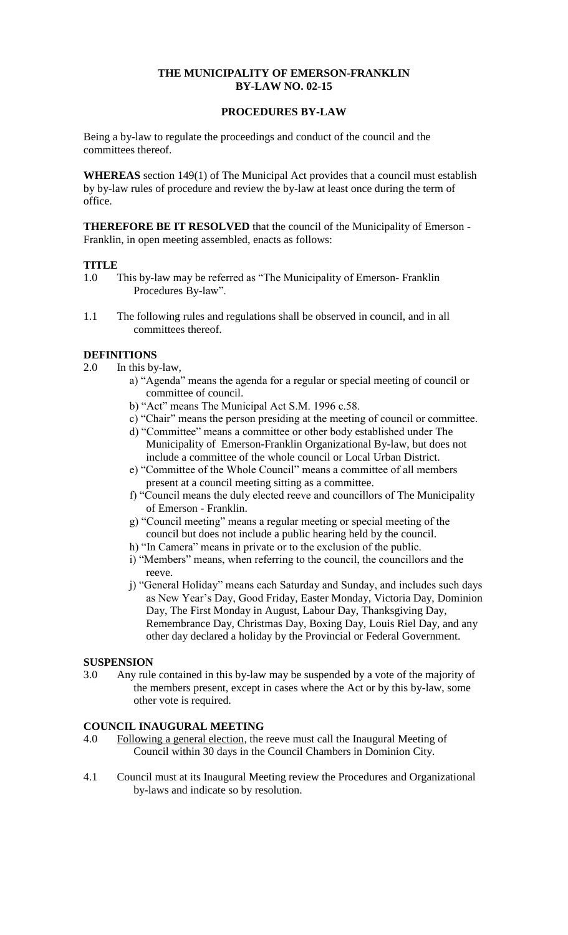## **THE MUNICIPALITY OF EMERSON-FRANKLIN BY-LAW NO. 02-15**

## **PROCEDURES BY-LAW**

Being a by-law to regulate the proceedings and conduct of the council and the committees thereof.

**WHEREAS** section 149(1) of The Municipal Act provides that a council must establish by by-law rules of procedure and review the by-law at least once during the term of office.

**THEREFORE BE IT RESOLVED** that the council of the Municipality of Emerson - Franklin, in open meeting assembled, enacts as follows:

#### **TITLE**

- 1.0 This by-law may be referred as "The Municipality of Emerson- Franklin Procedures By-law".
- 1.1 The following rules and regulations shall be observed in council, and in all committees thereof.

### **DEFINITIONS**

- 2.0 In this by-law,
	- a) "Agenda" means the agenda for a regular or special meeting of council or committee of council.
	- b) "Act" means The Municipal Act S.M. 1996 c.58.
	- c) "Chair" means the person presiding at the meeting of council or committee.
	- d) "Committee" means a committee or other body established under The Municipality of Emerson-Franklin Organizational By-law, but does not include a committee of the whole council or Local Urban District.
	- e) "Committee of the Whole Council" means a committee of all members present at a council meeting sitting as a committee.
	- f) "Council means the duly elected reeve and councillors of The Municipality of Emerson - Franklin.
	- g) "Council meeting" means a regular meeting or special meeting of the council but does not include a public hearing held by the council.
	- h) "In Camera" means in private or to the exclusion of the public.
	- i) "Members" means, when referring to the council, the councillors and the reeve.
	- j) "General Holiday" means each Saturday and Sunday, and includes such days as New Year's Day, Good Friday, Easter Monday, Victoria Day, Dominion Day, The First Monday in August, Labour Day, Thanksgiving Day, Remembrance Day, Christmas Day, Boxing Day, Louis Riel Day, and any other day declared a holiday by the Provincial or Federal Government.

### **SUSPENSION**

3.0 Any rule contained in this by-law may be suspended by a vote of the majority of the members present, except in cases where the Act or by this by-law, some other vote is required.

### **COUNCIL INAUGURAL MEETING**

- 4.0 Following a general election, the reeve must call the Inaugural Meeting of Council within 30 days in the Council Chambers in Dominion City.
- 4.1 Council must at its Inaugural Meeting review the Procedures and Organizational by-laws and indicate so by resolution.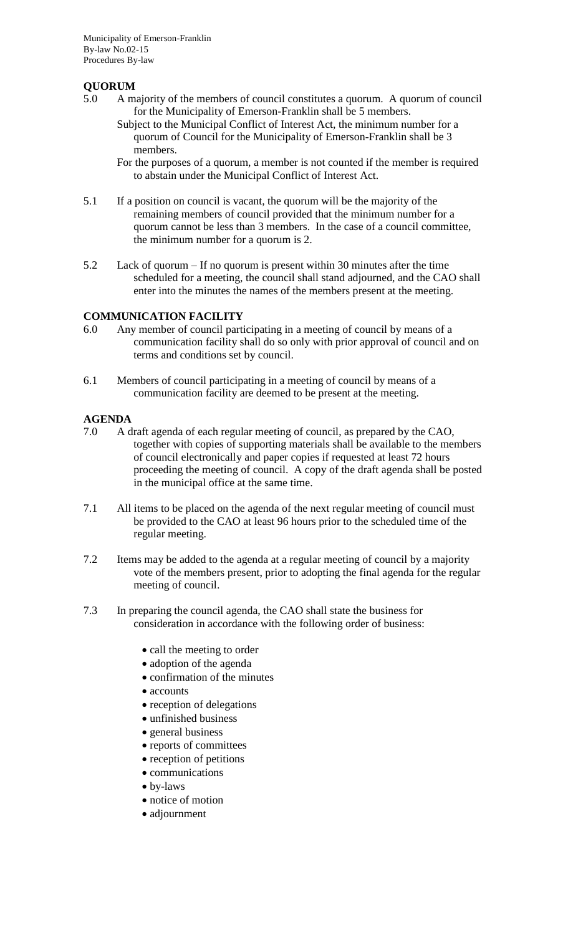# **QUORUM**

- 5.0 A majority of the members of council constitutes a quorum. A quorum of council for the Municipality of Emerson-Franklin shall be 5 members.
	- Subject to the Municipal Conflict of Interest Act, the minimum number for a quorum of Council for the Municipality of Emerson-Franklin shall be 3 members.
	- For the purposes of a quorum, a member is not counted if the member is required to abstain under the Municipal Conflict of Interest Act.
- 5.1 If a position on council is vacant, the quorum will be the majority of the remaining members of council provided that the minimum number for a quorum cannot be less than 3 members. In the case of a council committee, the minimum number for a quorum is 2.
- 5.2 Lack of quorum If no quorum is present within 30 minutes after the time scheduled for a meeting, the council shall stand adjourned, and the CAO shall enter into the minutes the names of the members present at the meeting.

### **COMMUNICATION FACILITY**

- 6.0 Any member of council participating in a meeting of council by means of a communication facility shall do so only with prior approval of council and on terms and conditions set by council.
- 6.1 Members of council participating in a meeting of council by means of a communication facility are deemed to be present at the meeting.

## **AGENDA**

- 7.0 A draft agenda of each regular meeting of council, as prepared by the CAO, together with copies of supporting materials shall be available to the members of council electronically and paper copies if requested at least 72 hours proceeding the meeting of council. A copy of the draft agenda shall be posted in the municipal office at the same time.
- 7.1 All items to be placed on the agenda of the next regular meeting of council must be provided to the CAO at least 96 hours prior to the scheduled time of the regular meeting.
- 7.2 Items may be added to the agenda at a regular meeting of council by a majority vote of the members present, prior to adopting the final agenda for the regular meeting of council.
- 7.3 In preparing the council agenda, the CAO shall state the business for consideration in accordance with the following order of business:
	- call the meeting to order
	- adoption of the agenda
	- confirmation of the minutes
	- accounts
	- reception of delegations
	- unfinished business
	- general business
	- reports of committees
	- reception of petitions
	- communications
	- by-laws
	- notice of motion
	- adjournment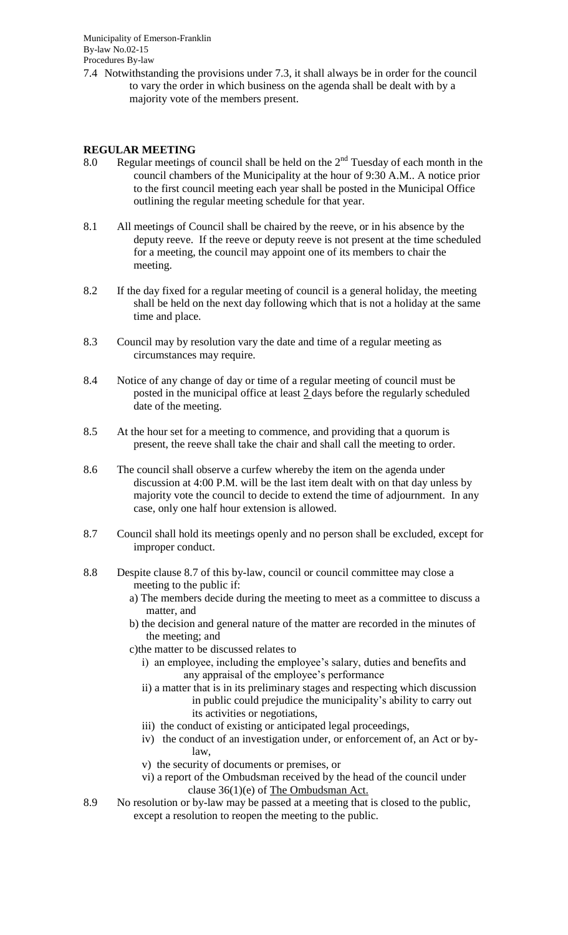7.4 Notwithstanding the provisions under 7.3, it shall always be in order for the council to vary the order in which business on the agenda shall be dealt with by a majority vote of the members present.

### **REGULAR MEETING**

- 8.0 Regular meetings of council shall be held on the  $2<sup>nd</sup>$  Tuesday of each month in the council chambers of the Municipality at the hour of 9:30 A.M.. A notice prior to the first council meeting each year shall be posted in the Municipal Office outlining the regular meeting schedule for that year.
- 8.1 All meetings of Council shall be chaired by the reeve, or in his absence by the deputy reeve. If the reeve or deputy reeve is not present at the time scheduled for a meeting, the council may appoint one of its members to chair the meeting.
- 8.2 If the day fixed for a regular meeting of council is a general holiday, the meeting shall be held on the next day following which that is not a holiday at the same time and place.
- 8.3 Council may by resolution vary the date and time of a regular meeting as circumstances may require.
- 8.4 Notice of any change of day or time of a regular meeting of council must be posted in the municipal office at least 2 days before the regularly scheduled date of the meeting.
- 8.5 At the hour set for a meeting to commence, and providing that a quorum is present, the reeve shall take the chair and shall call the meeting to order.
- 8.6 The council shall observe a curfew whereby the item on the agenda under discussion at 4:00 P.M. will be the last item dealt with on that day unless by majority vote the council to decide to extend the time of adjournment. In any case, only one half hour extension is allowed.
- 8.7 Council shall hold its meetings openly and no person shall be excluded, except for improper conduct.
- 8.8 Despite clause 8.7 of this by-law, council or council committee may close a meeting to the public if:
	- a) The members decide during the meeting to meet as a committee to discuss a matter, and
	- b) the decision and general nature of the matter are recorded in the minutes of the meeting; and
	- c)the matter to be discussed relates to
		- i) an employee, including the employee's salary, duties and benefits and any appraisal of the employee's performance
		- ii) a matter that is in its preliminary stages and respecting which discussion in public could prejudice the municipality's ability to carry out its activities or negotiations,
		- iii) the conduct of existing or anticipated legal proceedings,
		- iv) the conduct of an investigation under, or enforcement of, an Act or bylaw,
		- v) the security of documents or premises, or
		- vi) a report of the Ombudsman received by the head of the council under clause 36(1)(e) of The Ombudsman Act.
- 8.9 No resolution or by-law may be passed at a meeting that is closed to the public, except a resolution to reopen the meeting to the public.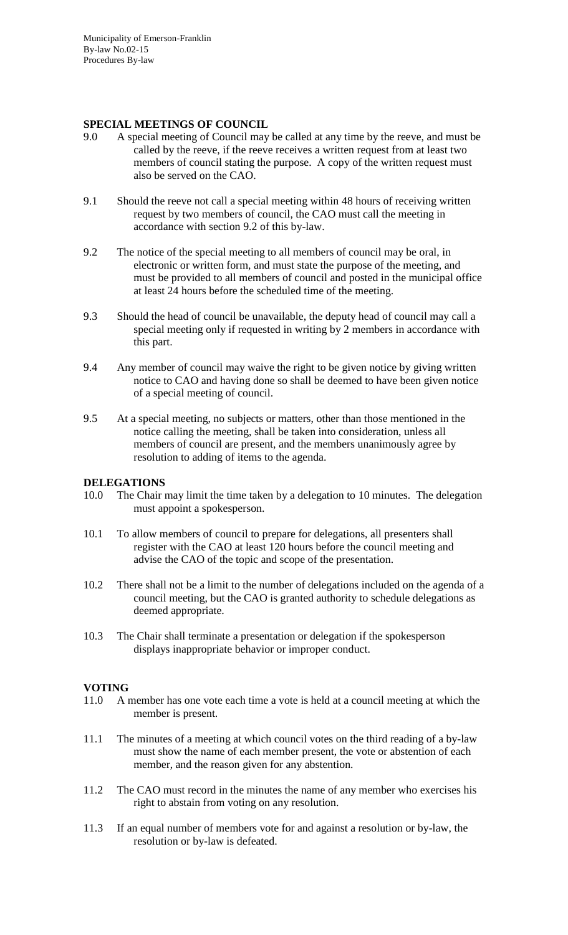#### **SPECIAL MEETINGS OF COUNCIL**

- 9.0 A special meeting of Council may be called at any time by the reeve, and must be called by the reeve, if the reeve receives a written request from at least two members of council stating the purpose. A copy of the written request must also be served on the CAO.
- 9.1 Should the reeve not call a special meeting within 48 hours of receiving written request by two members of council, the CAO must call the meeting in accordance with section 9.2 of this by-law.
- 9.2 The notice of the special meeting to all members of council may be oral, in electronic or written form, and must state the purpose of the meeting, and must be provided to all members of council and posted in the municipal office at least 24 hours before the scheduled time of the meeting.
- 9.3 Should the head of council be unavailable, the deputy head of council may call a special meeting only if requested in writing by 2 members in accordance with this part.
- 9.4 Any member of council may waive the right to be given notice by giving written notice to CAO and having done so shall be deemed to have been given notice of a special meeting of council.
- 9.5 At a special meeting, no subjects or matters, other than those mentioned in the notice calling the meeting, shall be taken into consideration, unless all members of council are present, and the members unanimously agree by resolution to adding of items to the agenda.

### **DELEGATIONS**

- 10.0 The Chair may limit the time taken by a delegation to 10 minutes. The delegation must appoint a spokesperson.
- 10.1 To allow members of council to prepare for delegations, all presenters shall register with the CAO at least 120 hours before the council meeting and advise the CAO of the topic and scope of the presentation.
- 10.2 There shall not be a limit to the number of delegations included on the agenda of a council meeting, but the CAO is granted authority to schedule delegations as deemed appropriate.
- 10.3 The Chair shall terminate a presentation or delegation if the spokesperson displays inappropriate behavior or improper conduct.

### **VOTING**

- 11.0 A member has one vote each time a vote is held at a council meeting at which the member is present.
- 11.1 The minutes of a meeting at which council votes on the third reading of a by-law must show the name of each member present, the vote or abstention of each member, and the reason given for any abstention.
- 11.2 The CAO must record in the minutes the name of any member who exercises his right to abstain from voting on any resolution.
- 11.3 If an equal number of members vote for and against a resolution or by-law, the resolution or by-law is defeated.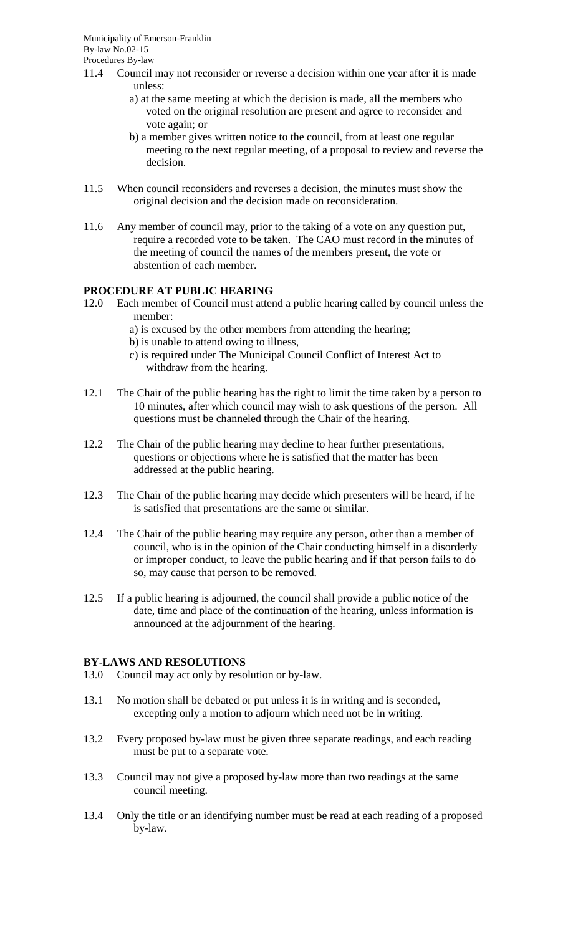- 11.4 Council may not reconsider or reverse a decision within one year after it is made unless:
	- a) at the same meeting at which the decision is made, all the members who voted on the original resolution are present and agree to reconsider and vote again; or
	- b) a member gives written notice to the council, from at least one regular meeting to the next regular meeting, of a proposal to review and reverse the decision.
- 11.5 When council reconsiders and reverses a decision, the minutes must show the original decision and the decision made on reconsideration.
- 11.6 Any member of council may, prior to the taking of a vote on any question put, require a recorded vote to be taken. The CAO must record in the minutes of the meeting of council the names of the members present, the vote or abstention of each member.

## **PROCEDURE AT PUBLIC HEARING**

- 12.0 Each member of Council must attend a public hearing called by council unless the member:
	- a) is excused by the other members from attending the hearing;
	- b) is unable to attend owing to illness,
	- c) is required under The Municipal Council Conflict of Interest Act to withdraw from the hearing.
- 12.1 The Chair of the public hearing has the right to limit the time taken by a person to 10 minutes, after which council may wish to ask questions of the person. All questions must be channeled through the Chair of the hearing.
- 12.2 The Chair of the public hearing may decline to hear further presentations, questions or objections where he is satisfied that the matter has been addressed at the public hearing.
- 12.3 The Chair of the public hearing may decide which presenters will be heard, if he is satisfied that presentations are the same or similar.
- 12.4 The Chair of the public hearing may require any person, other than a member of council, who is in the opinion of the Chair conducting himself in a disorderly or improper conduct, to leave the public hearing and if that person fails to do so, may cause that person to be removed.
- 12.5 If a public hearing is adjourned, the council shall provide a public notice of the date, time and place of the continuation of the hearing, unless information is announced at the adjournment of the hearing.

### **BY-LAWS AND RESOLUTIONS**

- 13.0 Council may act only by resolution or by-law.
- 13.1 No motion shall be debated or put unless it is in writing and is seconded, excepting only a motion to adjourn which need not be in writing.
- 13.2 Every proposed by-law must be given three separate readings, and each reading must be put to a separate vote.
- 13.3 Council may not give a proposed by-law more than two readings at the same council meeting.
- 13.4 Only the title or an identifying number must be read at each reading of a proposed by-law.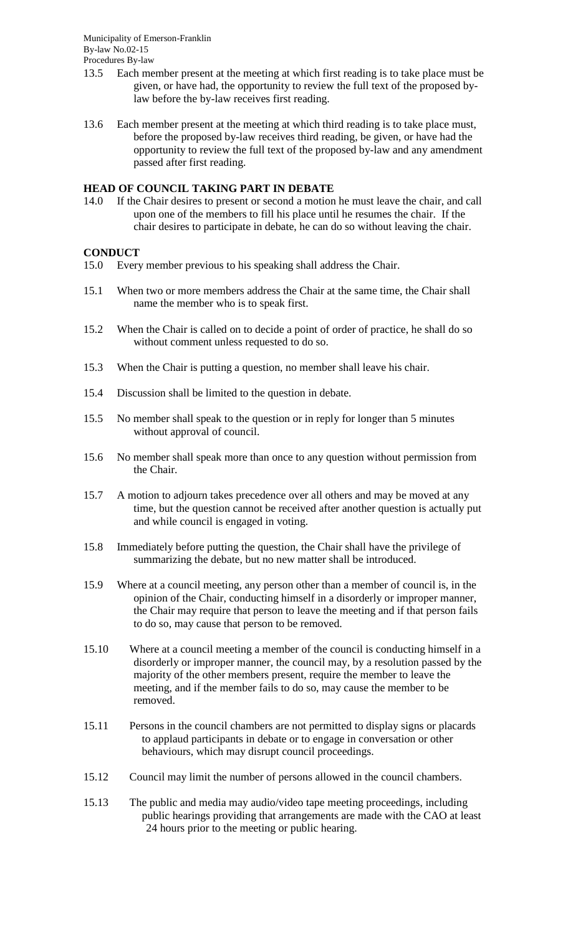- 13.5 Each member present at the meeting at which first reading is to take place must be given, or have had, the opportunity to review the full text of the proposed bylaw before the by-law receives first reading.
- 13.6 Each member present at the meeting at which third reading is to take place must, before the proposed by-law receives third reading, be given, or have had the opportunity to review the full text of the proposed by-law and any amendment passed after first reading.

### **HEAD OF COUNCIL TAKING PART IN DEBATE**

14.0 If the Chair desires to present or second a motion he must leave the chair, and call upon one of the members to fill his place until he resumes the chair. If the chair desires to participate in debate, he can do so without leaving the chair.

### **CONDUCT**

- 15.0 Every member previous to his speaking shall address the Chair.
- 15.1 When two or more members address the Chair at the same time, the Chair shall name the member who is to speak first.
- 15.2 When the Chair is called on to decide a point of order of practice, he shall do so without comment unless requested to do so.
- 15.3 When the Chair is putting a question, no member shall leave his chair.
- 15.4 Discussion shall be limited to the question in debate.
- 15.5 No member shall speak to the question or in reply for longer than 5 minutes without approval of council.
- 15.6 No member shall speak more than once to any question without permission from the Chair.
- 15.7 A motion to adjourn takes precedence over all others and may be moved at any time, but the question cannot be received after another question is actually put and while council is engaged in voting.
- 15.8 Immediately before putting the question, the Chair shall have the privilege of summarizing the debate, but no new matter shall be introduced.
- 15.9 Where at a council meeting, any person other than a member of council is, in the opinion of the Chair, conducting himself in a disorderly or improper manner, the Chair may require that person to leave the meeting and if that person fails to do so, may cause that person to be removed.
- 15.10 Where at a council meeting a member of the council is conducting himself in a disorderly or improper manner, the council may, by a resolution passed by the majority of the other members present, require the member to leave the meeting, and if the member fails to do so, may cause the member to be removed.
- 15.11 Persons in the council chambers are not permitted to display signs or placards to applaud participants in debate or to engage in conversation or other behaviours, which may disrupt council proceedings.
- 15.12 Council may limit the number of persons allowed in the council chambers.
- 15.13 The public and media may audio/video tape meeting proceedings, including public hearings providing that arrangements are made with the CAO at least 24 hours prior to the meeting or public hearing.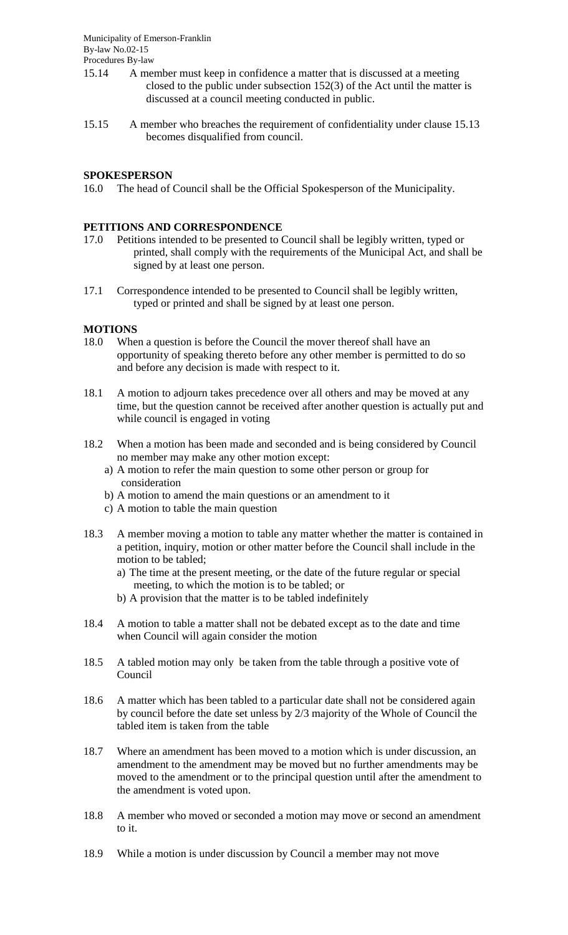- 15.14 A member must keep in confidence a matter that is discussed at a meeting closed to the public under subsection 152(3) of the Act until the matter is discussed at a council meeting conducted in public.
- 15.15 A member who breaches the requirement of confidentiality under clause 15.13 becomes disqualified from council.

### **SPOKESPERSON**

16.0 The head of Council shall be the Official Spokesperson of the Municipality.

#### **PETITIONS AND CORRESPONDENCE**

- 17.0 Petitions intended to be presented to Council shall be legibly written, typed or printed, shall comply with the requirements of the Municipal Act, and shall be signed by at least one person.
- 17.1 Correspondence intended to be presented to Council shall be legibly written, typed or printed and shall be signed by at least one person.

#### **MOTIONS**

- 18.0 When a question is before the Council the mover thereof shall have an opportunity of speaking thereto before any other member is permitted to do so and before any decision is made with respect to it.
- 18.1 A motion to adjourn takes precedence over all others and may be moved at any time, but the question cannot be received after another question is actually put and while council is engaged in voting
- 18.2 When a motion has been made and seconded and is being considered by Council no member may make any other motion except:
	- a) A motion to refer the main question to some other person or group for consideration
	- b) A motion to amend the main questions or an amendment to it
	- c) A motion to table the main question
- 18.3 A member moving a motion to table any matter whether the matter is contained in a petition, inquiry, motion or other matter before the Council shall include in the motion to be tabled;
	- a) The time at the present meeting, or the date of the future regular or special meeting, to which the motion is to be tabled; or
	- b) A provision that the matter is to be tabled indefinitely
- 18.4 A motion to table a matter shall not be debated except as to the date and time when Council will again consider the motion
- 18.5 A tabled motion may only be taken from the table through a positive vote of Council
- 18.6 A matter which has been tabled to a particular date shall not be considered again by council before the date set unless by 2/3 majority of the Whole of Council the tabled item is taken from the table
- 18.7 Where an amendment has been moved to a motion which is under discussion, an amendment to the amendment may be moved but no further amendments may be moved to the amendment or to the principal question until after the amendment to the amendment is voted upon.
- 18.8 A member who moved or seconded a motion may move or second an amendment to it.
- 18.9 While a motion is under discussion by Council a member may not move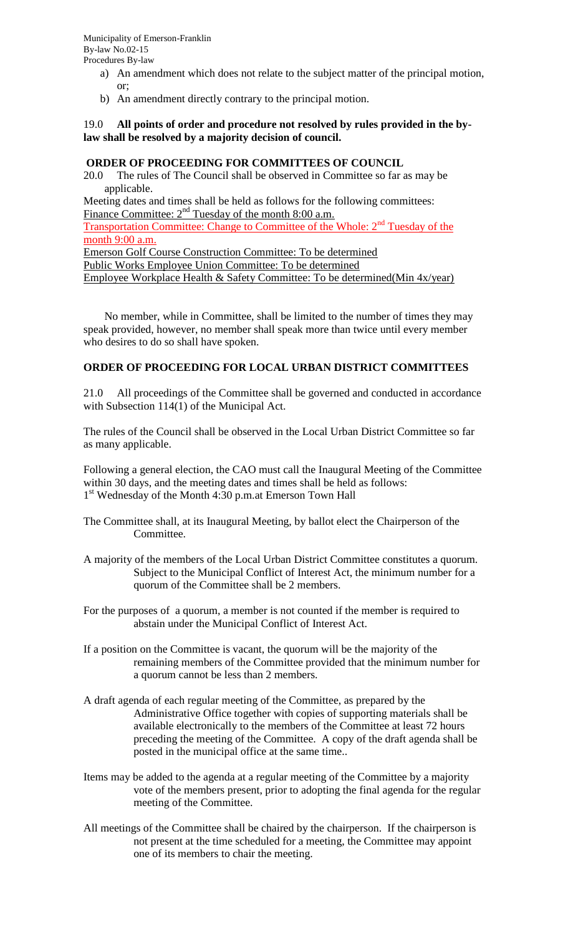- a) An amendment which does not relate to the subject matter of the principal motion, or;
- b) An amendment directly contrary to the principal motion.

### 19.0 **All points of order and procedure not resolved by rules provided in the bylaw shall be resolved by a majority decision of council.**

#### **ORDER OF PROCEEDING FOR COMMITTEES OF COUNCIL**

20.0 The rules of The Council shall be observed in Committee so far as may be applicable.

Meeting dates and times shall be held as follows for the following committees: Finance Committee:  $2<sup>nd</sup>$  Tuesday of the month 8:00 a.m.

Transportation Committee: Change to Committee of the Whole: 2<sup>nd</sup> Tuesday of the month 9:00 a.m.

Emerson Golf Course Construction Committee: To be determined Public Works Employee Union Committee: To be determined Employee Workplace Health & Safety Committee: To be determined(Min 4x/year)

No member, while in Committee, shall be limited to the number of times they may speak provided, however, no member shall speak more than twice until every member who desires to do so shall have spoken.

#### **ORDER OF PROCEEDING FOR LOCAL URBAN DISTRICT COMMITTEES**

21.0 All proceedings of the Committee shall be governed and conducted in accordance with Subsection 114(1) of the Municipal Act.

The rules of the Council shall be observed in the Local Urban District Committee so far as many applicable.

Following a general election, the CAO must call the Inaugural Meeting of the Committee within 30 days, and the meeting dates and times shall be held as follows: 1<sup>st</sup> Wednesday of the Month 4:30 p.m.at Emerson Town Hall

The Committee shall, at its Inaugural Meeting, by ballot elect the Chairperson of the Committee.

A majority of the members of the Local Urban District Committee constitutes a quorum. Subject to the Municipal Conflict of Interest Act, the minimum number for a quorum of the Committee shall be 2 members.

For the purposes of a quorum, a member is not counted if the member is required to abstain under the Municipal Conflict of Interest Act.

- If a position on the Committee is vacant, the quorum will be the majority of the remaining members of the Committee provided that the minimum number for a quorum cannot be less than 2 members.
- A draft agenda of each regular meeting of the Committee, as prepared by the Administrative Office together with copies of supporting materials shall be available electronically to the members of the Committee at least 72 hours preceding the meeting of the Committee. A copy of the draft agenda shall be posted in the municipal office at the same time..
- Items may be added to the agenda at a regular meeting of the Committee by a majority vote of the members present, prior to adopting the final agenda for the regular meeting of the Committee.
- All meetings of the Committee shall be chaired by the chairperson. If the chairperson is not present at the time scheduled for a meeting, the Committee may appoint one of its members to chair the meeting.